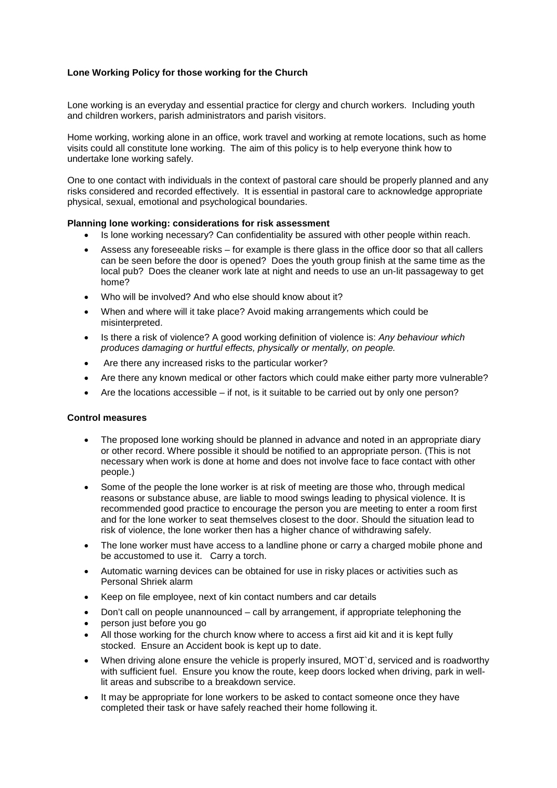## **Lone Working Policy for those working for the Church**

Lone working is an everyday and essential practice for clergy and church workers. Including youth and children workers, parish administrators and parish visitors.

Home working, working alone in an office, work travel and working at remote locations, such as home visits could all constitute lone working. The aim of this policy is to help everyone think how to undertake lone working safely.

One to one contact with individuals in the context of pastoral care should be properly planned and any risks considered and recorded effectively. It is essential in pastoral care to acknowledge appropriate physical, sexual, emotional and psychological boundaries.

#### **Planning lone working: considerations for risk assessment**

- Is lone working necessary? Can confidentiality be assured with other people within reach.
- Assess any foreseeable risks for example is there glass in the office door so that all callers can be seen before the door is opened? Does the youth group finish at the same time as the local pub? Does the cleaner work late at night and needs to use an un-lit passageway to get home?
- Who will be involved? And who else should know about it?
- When and where will it take place? Avoid making arrangements which could be misinterpreted.
- Is there a risk of violence? A good working definition of violence is: *Any behaviour which produces damaging or hurtful effects, physically or mentally, on people.*
- Are there any increased risks to the particular worker?
- Are there any known medical or other factors which could make either party more vulnerable?
- $\bullet$  Are the locations accessible if not, is it suitable to be carried out by only one person?

### **Control measures**

- The proposed lone working should be planned in advance and noted in an appropriate diary or other record. Where possible it should be notified to an appropriate person. (This is not necessary when work is done at home and does not involve face to face contact with other people.)
- Some of the people the lone worker is at risk of meeting are those who, through medical reasons or substance abuse, are liable to mood swings leading to physical violence. It is recommended good practice to encourage the person you are meeting to enter a room first and for the lone worker to seat themselves closest to the door. Should the situation lead to risk of violence, the lone worker then has a higher chance of withdrawing safely.
- The lone worker must have access to a landline phone or carry a charged mobile phone and be accustomed to use it. Carry a torch.
- Automatic warning devices can be obtained for use in risky places or activities such as Personal Shriek alarm
- Keep on file employee, next of kin contact numbers and car details
- Don't call on people unannounced call by arrangement, if appropriate telephoning the
- person just before you go
- All those working for the church know where to access a first aid kit and it is kept fully stocked. Ensure an Accident book is kept up to date.
- When driving alone ensure the vehicle is properly insured, MOT'd, serviced and is roadworthy with sufficient fuel. Ensure you know the route, keep doors locked when driving, park in welllit areas and subscribe to a breakdown service.
- It may be appropriate for lone workers to be asked to contact someone once they have completed their task or have safely reached their home following it.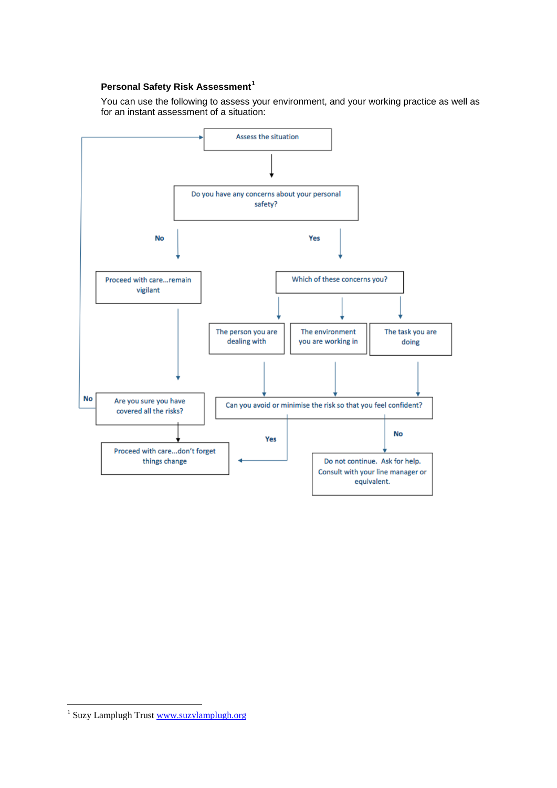# **Personal Safety Risk Assessment[1](#page-1-0)**

You can use the following to assess your environment, and your working practice as well as for an instant assessment of a situation:



<span id="page-1-0"></span><sup>1</sup> Suzy Lamplugh Trust [www.suzylamplugh.org](http://www.suzylamplugh.org/)